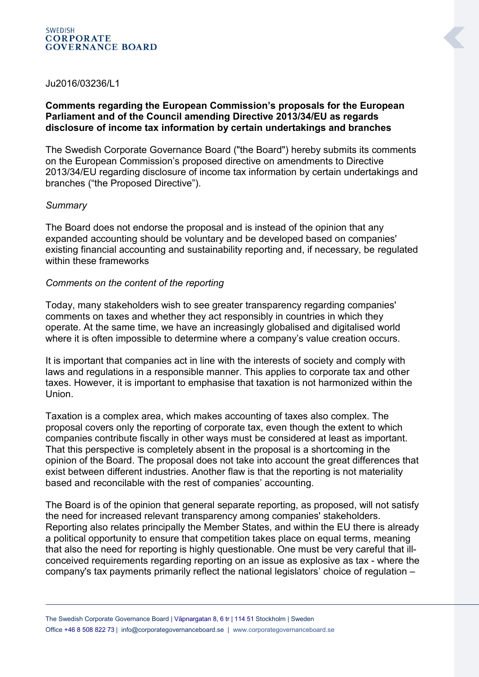#### **SWEDISH CORPORATE GOVERNANCE BOARD**

### Ju2016/03236/L1

# **Comments regarding the European Commission's proposals for the European Parliament and of the Council amending Directive 2013/34/EU as regards disclosure of income tax information by certain undertakings and branches**

The Swedish Corporate Governance Board ("the Board") hereby submits its comments on the European Commission's proposed directive on amendments to Directive 2013/34/EU regarding disclosure of income tax information by certain undertakings and branches ("the Proposed Directive").

# *Summary*

The Board does not endorse the proposal and is instead of the opinion that any expanded accounting should be voluntary and be developed based on companies' existing financial accounting and sustainability reporting and, if necessary, be regulated within these frameworks

# *Comments on the content of the reporting*

Today, many stakeholders wish to see greater transparency regarding companies' comments on taxes and whether they act responsibly in countries in which they operate. At the same time, we have an increasingly globalised and digitalised world where it is often impossible to determine where a company's value creation occurs.

It is important that companies act in line with the interests of society and comply with laws and regulations in a responsible manner. This applies to corporate tax and other taxes. However, it is important to emphasise that taxation is not harmonized within the Union.

Taxation is a complex area, which makes accounting of taxes also complex. The proposal covers only the reporting of corporate tax, even though the extent to which companies contribute fiscally in other ways must be considered at least as important. That this perspective is completely absent in the proposal is a shortcoming in the opinion of the Board. The proposal does not take into account the great differences that exist between different industries. Another flaw is that the reporting is not materiality based and reconcilable with the rest of companies' accounting.

The Board is of the opinion that general separate reporting, as proposed, will not satisfy the need for increased relevant transparency among companies' stakeholders. Reporting also relates principally the Member States, and within the EU there is already a political opportunity to ensure that competition takes place on equal terms, meaning that also the need for reporting is highly questionable. One must be very careful that illconceived requirements regarding reporting on an issue as explosive as tax - where the company's tax payments primarily reflect the national legislators' choice of regulation –